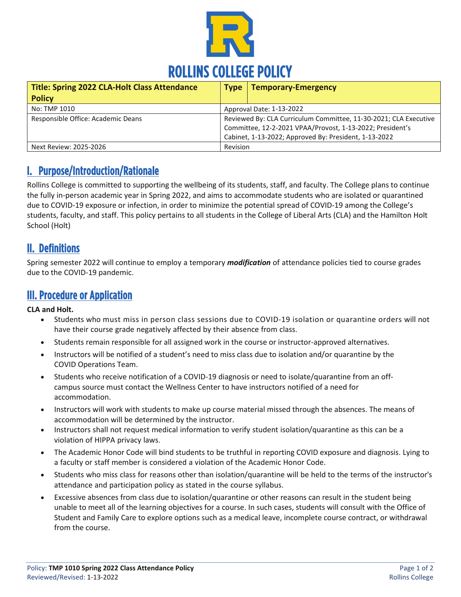

| <b>Title: Spring 2022 CLA-Holt Class Attendance</b> | <b>Type</b>                                                                                                                                                                            | <b>Temporary-Emergency</b> |
|-----------------------------------------------------|----------------------------------------------------------------------------------------------------------------------------------------------------------------------------------------|----------------------------|
| <b>Policy</b>                                       |                                                                                                                                                                                        |                            |
| No: TMP 1010                                        | Approval Date: 1-13-2022                                                                                                                                                               |                            |
| Responsible Office: Academic Deans                  | Reviewed By: CLA Curriculum Committee, 11-30-2021; CLA Executive<br>Committee, 12-2-2021 VPAA/Provost, 1-13-2022; President's<br>Cabinet, 1-13-2022; Approved By: President, 1-13-2022 |                            |
| Next Review: 2025-2026                              | Revision                                                                                                                                                                               |                            |

### I. Purpose/Introduction/Rationale

Rollins College is committed to supporting the wellbeing of its students, staff, and faculty. The College plans to continue the fully in-person academic year in Spring 2022, and aims to accommodate students who are isolated or quarantined due to COVID-19 exposure or infection, in order to minimize the potential spread of COVID-19 among the College's students, faculty, and staff. This policy pertains to all students in the College of Liberal Arts (CLA) and the Hamilton Holt School (Holt)

#### II. Definitions

Spring semester 2022 will continue to employ a temporary *modification* of attendance policies tied to course grades due to the COVID-19 pandemic.

#### III. Procedure or Application

**CLA and Holt.**

- Students who must miss in person class sessions due to COVID-19 isolation or quarantine orders will not have their course grade negatively affected by their absence from class.
- Students remain responsible for all assigned work in the course or instructor-approved alternatives.
- Instructors will be notified of a student's need to miss class due to isolation and/or quarantine by the COVID Operations Team.
- Students who receive notification of a COVID-19 diagnosis or need to isolate/quarantine from an offcampus source must contact the Wellness Center to have instructors notified of a need for accommodation.
- Instructors will work with students to make up course material missed through the absences. The means of accommodation will be determined by the instructor.
- Instructors shall not request medical information to verify student isolation/quarantine as this can be a violation of HIPPA privacy laws.
- The Academic Honor Code will bind students to be truthful in reporting COVID exposure and diagnosis. Lying to a faculty or staff member is considered a violation of the Academic Honor Code.
- Students who miss class for reasons other than isolation/quarantine will be held to the terms of the instructor's attendance and participation policy as stated in the course syllabus.
- Excessive absences from class due to isolation/quarantine or other reasons can result in the student being unable to meet all of the learning objectives for a course. In such cases, students will consult with the Office of Student and Family Care to explore options such as a medical leave, incomplete course contract, or withdrawal from the course.